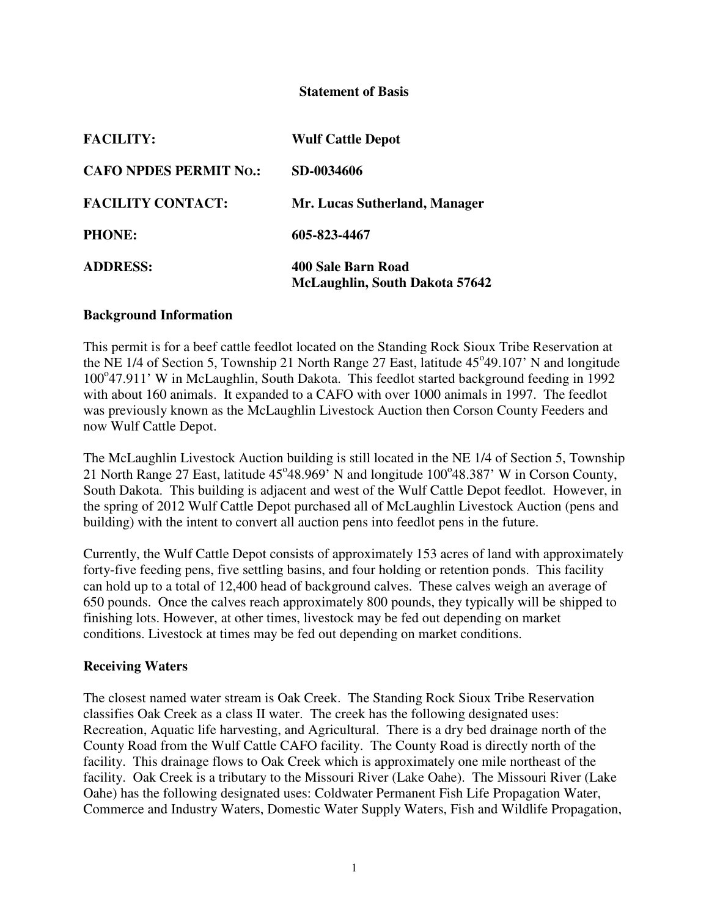#### **Statement of Basis**

| <b>FACILITY:</b>              | <b>Wulf Cattle Depot</b>                             |
|-------------------------------|------------------------------------------------------|
| <b>CAFO NPDES PERMIT NO.:</b> | SD-0034606                                           |
| <b>FACILITY CONTACT:</b>      | Mr. Lucas Sutherland, Manager                        |
| <b>PHONE:</b>                 | 605-823-4467                                         |
| <b>ADDRESS:</b>               | 400 Sale Barn Road<br>McLaughlin, South Dakota 57642 |

#### **Background Information**

This permit is for a beef cattle feedlot located on the Standing Rock Sioux Tribe Reservation at the NE 1/4 of Section 5, Township 21 North Range 27 East, latitude 45°49.107' N and longitude 100°47.911' W in McLaughlin, South Dakota. This feedlot started background feeding in 1992 with about 160 animals. It expanded to a CAFO with over 1000 animals in 1997. The feedlot was previously known as the McLaughlin Livestock Auction then Corson County Feeders and now Wulf Cattle Depot.

The McLaughlin Livestock Auction building is still located in the NE 1/4 of Section 5, Township 21 North Range 27 East, latitude  $45^{\circ}48.969$ <sup>'</sup> N and longitude  $100^{\circ}48.387$ ' W in Corson County, South Dakota. This building is adjacent and west of the Wulf Cattle Depot feedlot. However, in the spring of 2012 Wulf Cattle Depot purchased all of McLaughlin Livestock Auction (pens and building) with the intent to convert all auction pens into feedlot pens in the future.

Currently, the Wulf Cattle Depot consists of approximately 153 acres of land with approximately forty-five feeding pens, five settling basins, and four holding or retention ponds. This facility can hold up to a total of 12,400 head of background calves. These calves weigh an average of 650 pounds. Once the calves reach approximately 800 pounds, they typically will be shipped to finishing lots. However, at other times, livestock may be fed out depending on market conditions. Livestock at times may be fed out depending on market conditions.

#### **Receiving Waters**

The closest named water stream is Oak Creek. The Standing Rock Sioux Tribe Reservation classifies Oak Creek as a class II water. The creek has the following designated uses: Recreation, Aquatic life harvesting, and Agricultural. There is a dry bed drainage north of the County Road from the Wulf Cattle CAFO facility. The County Road is directly north of the facility. This drainage flows to Oak Creek which is approximately one mile northeast of the facility. Oak Creek is a tributary to the Missouri River (Lake Oahe). The Missouri River (Lake Oahe) has the following designated uses: Coldwater Permanent Fish Life Propagation Water, Commerce and Industry Waters, Domestic Water Supply Waters, Fish and Wildlife Propagation,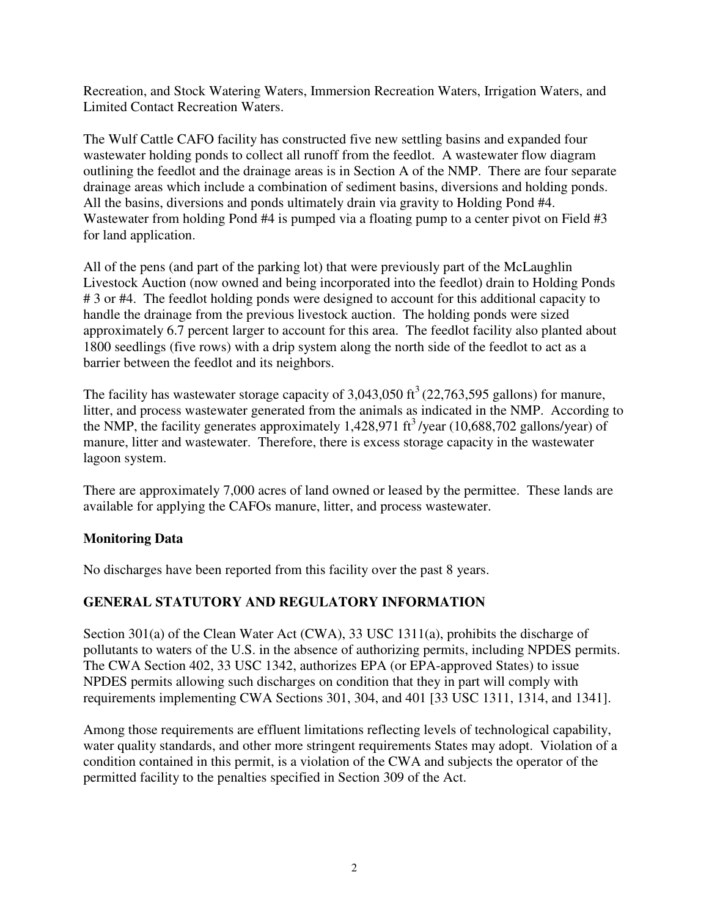Recreation, and Stock Watering Waters, Immersion Recreation Waters, Irrigation Waters, and Limited Contact Recreation Waters.

The Wulf Cattle CAFO facility has constructed five new settling basins and expanded four wastewater holding ponds to collect all runoff from the feedlot. A wastewater flow diagram outlining the feedlot and the drainage areas is in Section A of the NMP. There are four separate drainage areas which include a combination of sediment basins, diversions and holding ponds. All the basins, diversions and ponds ultimately drain via gravity to Holding Pond #4. Wastewater from holding Pond #4 is pumped via a floating pump to a center pivot on Field #3 for land application.

All of the pens (and part of the parking lot) that were previously part of the McLaughlin Livestock Auction (now owned and being incorporated into the feedlot) drain to Holding Ponds # 3 or #4. The feedlot holding ponds were designed to account for this additional capacity to handle the drainage from the previous livestock auction. The holding ponds were sized approximately 6.7 percent larger to account for this area. The feedlot facility also planted about 1800 seedlings (five rows) with a drip system along the north side of the feedlot to act as a barrier between the feedlot and its neighbors.

The facility has wastewater storage capacity of  $3,043,050$  ft<sup>3</sup> (22,763,595 gallons) for manure, litter, and process wastewater generated from the animals as indicated in the NMP. According to the NMP, the facility generates approximately 1,428,971 ft<sup>3</sup>/year (10,688,702 gallons/year) of manure, litter and wastewater. Therefore, there is excess storage capacity in the wastewater lagoon system.

There are approximately 7,000 acres of land owned or leased by the permittee. These lands are available for applying the CAFOs manure, litter, and process wastewater.

## **Monitoring Data**

No discharges have been reported from this facility over the past 8 years.

## **GENERAL STATUTORY AND REGULATORY INFORMATION**

Section 301(a) of the Clean Water Act (CWA), 33 USC 1311(a), prohibits the discharge of pollutants to waters of the U.S. in the absence of authorizing permits, including NPDES permits. The CWA Section 402, 33 USC 1342, authorizes EPA (or EPA-approved States) to issue NPDES permits allowing such discharges on condition that they in part will comply with requirements implementing CWA Sections 301, 304, and 401 [33 USC 1311, 1314, and 1341].

Among those requirements are effluent limitations reflecting levels of technological capability, water quality standards, and other more stringent requirements States may adopt. Violation of a condition contained in this permit, is a violation of the CWA and subjects the operator of the permitted facility to the penalties specified in Section 309 of the Act.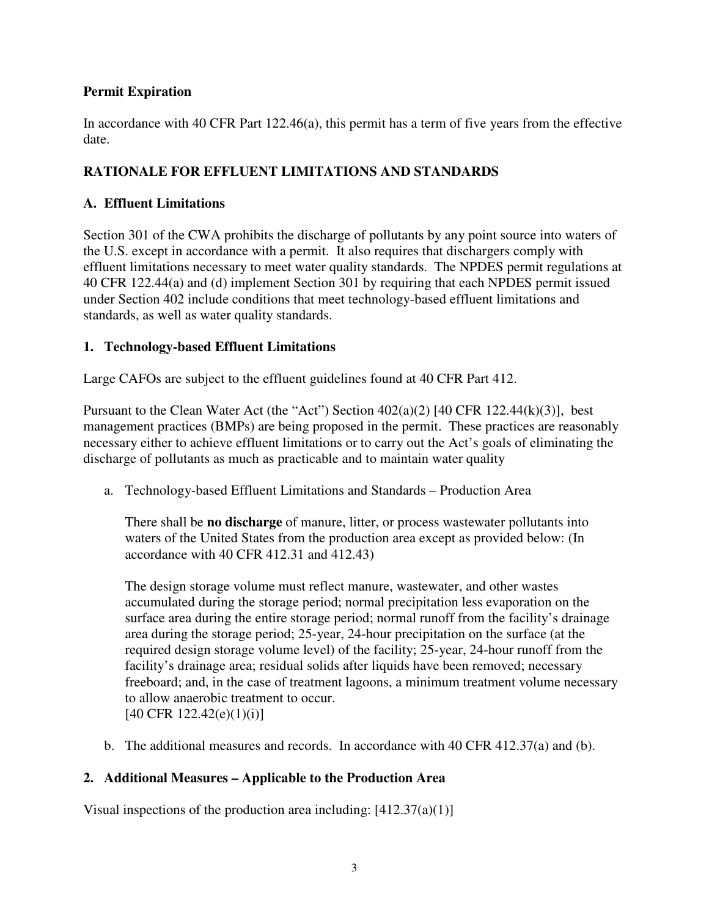## **Permit Expiration**

In accordance with 40 CFR Part 122.46(a), this permit has a term of five years from the effective date.

## **RATIONALE FOR EFFLUENT LIMITATIONS AND STANDARDS**

## **A. Effluent Limitations**

Section 301 of the CWA prohibits the discharge of pollutants by any point source into waters of the U.S. except in accordance with a permit. It also requires that dischargers comply with effluent limitations necessary to meet water quality standards. The NPDES permit regulations at 40 CFR 122.44(a) and (d) implement Section 301 by requiring that each NPDES permit issued under Section 402 include conditions that meet technology-based effluent limitations and standards, as well as water quality standards.

## **1. Technology-based Effluent Limitations**

Large CAFOs are subject to the effluent guidelines found at 40 CFR Part 412.

Pursuant to the Clean Water Act (the "Act") Section  $402(a)(2)$  [40 CFR 122.44(k)(3)], best management practices (BMPs) are being proposed in the permit. These practices are reasonably necessary either to achieve effluent limitations or to carry out the Act's goals of eliminating the discharge of pollutants as much as practicable and to maintain water quality

a. Technology-based Effluent Limitations and Standards – Production Area

There shall be **no discharge** of manure, litter, or process wastewater pollutants into waters of the United States from the production area except as provided below: (In accordance with 40 CFR 412.31 and 412.43)

The design storage volume must reflect manure, wastewater, and other wastes accumulated during the storage period; normal precipitation less evaporation on the surface area during the entire storage period; normal runoff from the facility's drainage area during the storage period; 25-year, 24-hour precipitation on the surface (at the required design storage volume level) of the facility; 25-year, 24-hour runoff from the facility's drainage area; residual solids after liquids have been removed; necessary freeboard; and, in the case of treatment lagoons, a minimum treatment volume necessary to allow anaerobic treatment to occur.  $[40 \text{ CFR } 122.42(e)(1)(i)]$ 

b. The additional measures and records. In accordance with 40 CFR 412.37(a) and (b).

## **2. Additional Measures – Applicable to the Production Area**

Visual inspections of the production area including:  $[412.37(a)(1)]$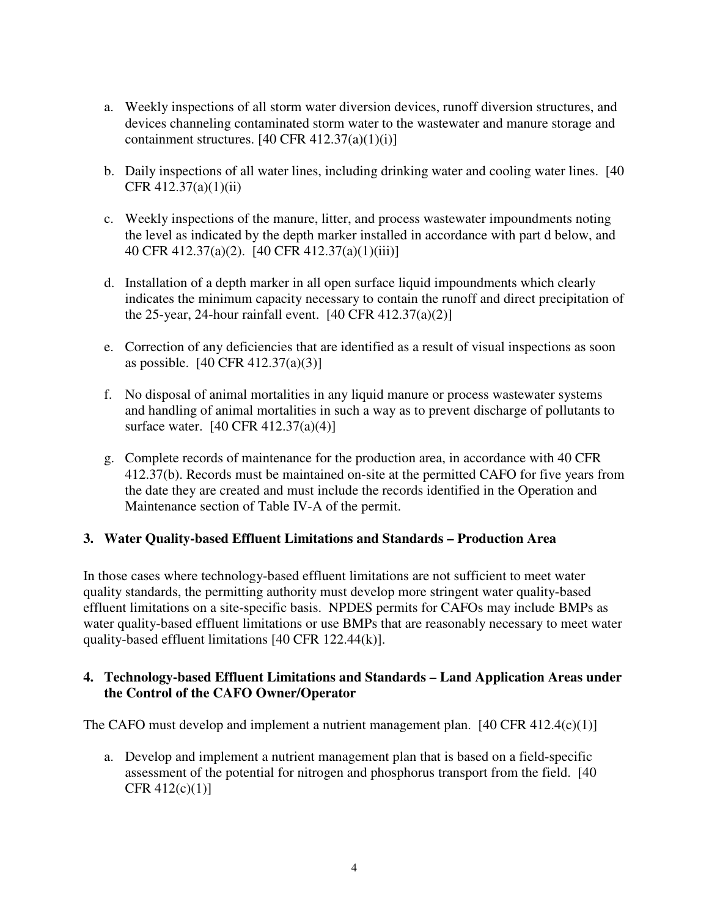- a. Weekly inspections of all storm water diversion devices, runoff diversion structures, and devices channeling contaminated storm water to the wastewater and manure storage and containment structures.  $[40 \text{ CFR } 412.37(a)(1)(i)]$
- b. Daily inspections of all water lines, including drinking water and cooling water lines. [40 CFR 412.37(a)(1)(ii)
- c. Weekly inspections of the manure, litter, and process wastewater impoundments noting the level as indicated by the depth marker installed in accordance with part d below, and 40 CFR 412.37(a)(2). [40 CFR 412.37(a)(1)(iii)]
- d. Installation of a depth marker in all open surface liquid impoundments which clearly indicates the minimum capacity necessary to contain the runoff and direct precipitation of the 25-year, 24-hour rainfall event.  $[40 \text{ CFR } 412.37(a)(2)]$
- e. Correction of any deficiencies that are identified as a result of visual inspections as soon as possible. [40 CFR 412.37(a)(3)]
- f. No disposal of animal mortalities in any liquid manure or process wastewater systems and handling of animal mortalities in such a way as to prevent discharge of pollutants to surface water. [40 CFR 412.37(a)(4)]
- g. Complete records of maintenance for the production area, in accordance with 40 CFR 412.37(b). Records must be maintained on-site at the permitted CAFO for five years from the date they are created and must include the records identified in the Operation and Maintenance section of Table IV-A of the permit.

## **3. Water Quality-based Effluent Limitations and Standards – Production Area**

In those cases where technology-based effluent limitations are not sufficient to meet water quality standards, the permitting authority must develop more stringent water quality-based effluent limitations on a site-specific basis. NPDES permits for CAFOs may include BMPs as water quality-based effluent limitations or use BMPs that are reasonably necessary to meet water quality-based effluent limitations [40 CFR 122.44(k)].

### **4. Technology-based Effluent Limitations and Standards – Land Application Areas under the Control of the CAFO Owner/Operator**

The CAFO must develop and implement a nutrient management plan. [40 CFR 412.4(c)(1)]

a. Develop and implement a nutrient management plan that is based on a field-specific assessment of the potential for nitrogen and phosphorus transport from the field. [40 CFR 412(c)(1)]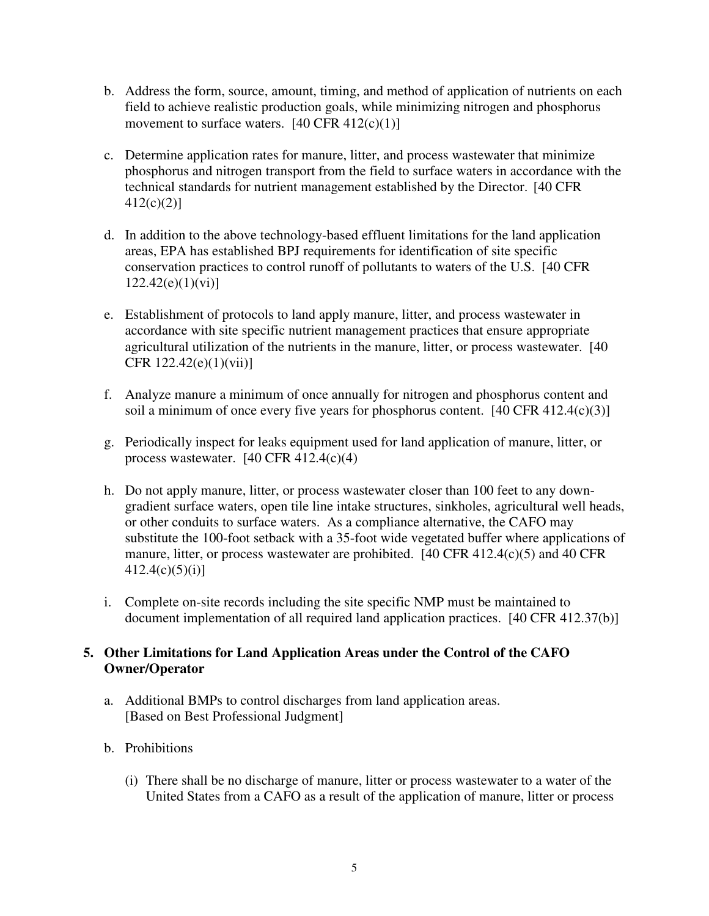- b. Address the form, source, amount, timing, and method of application of nutrients on each field to achieve realistic production goals, while minimizing nitrogen and phosphorus movement to surface waters.  $[40 \text{ CFR } 412(c)(1)]$
- c. Determine application rates for manure, litter, and process wastewater that minimize phosphorus and nitrogen transport from the field to surface waters in accordance with the technical standards for nutrient management established by the Director.[40 CFR 412(c)(2)]
- d. In addition to the above technology-based effluent limitations for the land application areas, EPA has established BPJ requirements for identification of site specific conservation practices to control runoff of pollutants to waters of the U.S. [40 CFR  $122.42(e)(1)(vi)$ ]
- e. Establishment of protocols to land apply manure, litter, and process wastewater in accordance with site specific nutrient management practices that ensure appropriate agricultural utilization of the nutrients in the manure, litter, or process wastewater. [40 CFR 122.42(e)(1)(vii)]
- f. Analyze manure a minimum of once annually for nitrogen and phosphorus content and soil a minimum of once every five years for phosphorus content.  $[40 \text{ CFR } 412.4(c)(3)]$
- g. Periodically inspect for leaks equipment used for land application of manure, litter, or process wastewater. [40 CFR 412.4(c)(4)
- h. Do not apply manure, litter, or process wastewater closer than 100 feet to any downgradient surface waters, open tile line intake structures, sinkholes, agricultural well heads, or other conduits to surface waters. As a compliance alternative, the CAFO may substitute the 100-foot setback with a 35-foot wide vegetated buffer where applications of manure, litter, or process wastewater are prohibited. [40 CFR 412.4(c)(5) and 40 CFR  $412.4(c)(5)(i)$ ]
- i. Complete on-site records including the site specific NMP must be maintained to document implementation of all required land application practices. [40 CFR 412.37(b)]

## **5. Other Limitations for Land Application Areas under the Control of the CAFO Owner/Operator**

- a. Additional BMPs to control discharges from land application areas. [Based on Best Professional Judgment]
- b. Prohibitions
	- (i) There shall be no discharge of manure, litter or process wastewater to a water of the United States from a CAFO as a result of the application of manure, litter or process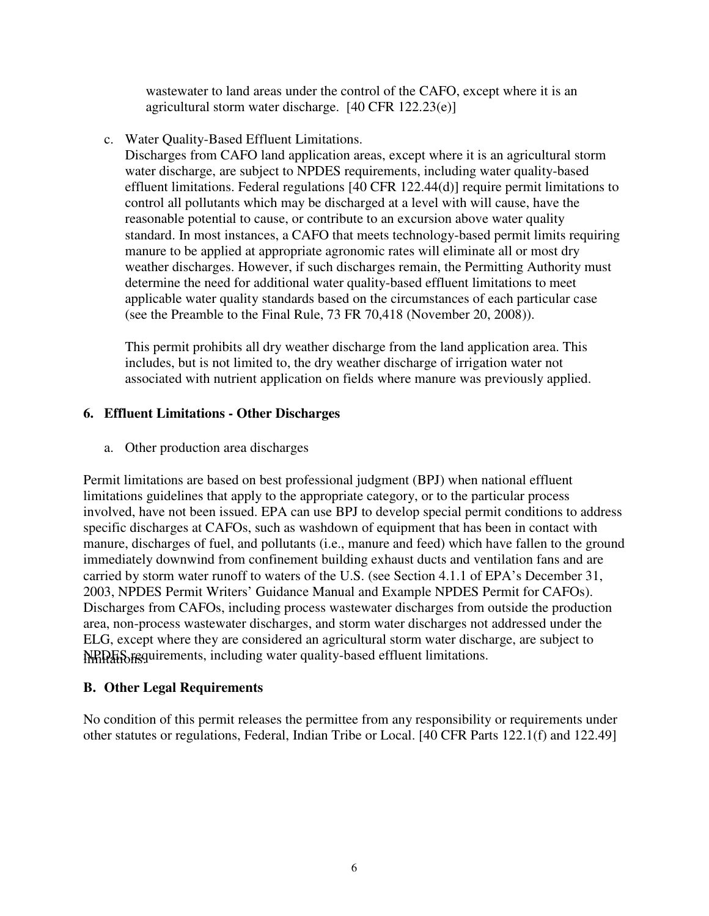wastewater to land areas under the control of the CAFO, except where it is an agricultural storm water discharge. [40 CFR 122.23(e)]

c. Water Quality-Based Effluent Limitations.

 Discharges from CAFO land application areas, except where it is an agricultural storm water discharge, are subject to NPDES requirements, including water quality-based effluent limitations. Federal regulations [40 CFR 122.44(d)] require permit limitations to control all pollutants which may be discharged at a level with will cause, have the reasonable potential to cause, or contribute to an excursion above water quality standard. In most instances, a CAFO that meets technology-based permit limits requiring manure to be applied at appropriate agronomic rates will eliminate all or most dry weather discharges. However, if such discharges remain, the Permitting Authority must determine the need for additional water quality-based effluent limitations to meet applicable water quality standards based on the circumstances of each particular case (see the Preamble to the Final Rule, 73 FR 70,418 (November 20, 2008)).

 This permit prohibits all dry weather discharge from the land application area. This includes, but is not limited to, the dry weather discharge of irrigation water not associated with nutrient application on fields where manure was previously applied.

### **6. Effluent Limitations - Other Discharges**

a. Other production area discharges

Permit limitations are based on best professional judgment (BPJ) when national effluent limitations guidelines that apply to the appropriate category, or to the particular process involved, have not been issued. EPA can use BPJ to develop special permit conditions to address specific discharges at CAFOs, such as washdown of equipment that has been in contact with manure, discharges of fuel, and pollutants (i.e., manure and feed) which have fallen to the ground immediately downwind from confinement building exhaust ducts and ventilation fans and are carried by storm water runoff to waters of the U.S. (see Section 4.1.1 of EPA's December 31, 2003, NPDES Permit Writers' Guidance Manual and Example NPDES Permit for CAFOs). Discharges from CAFOs, including process wastewater discharges from outside the production area, non-process wastewater discharges, and storm water discharges not addressed under the ELG, except where they are considered an agricultural storm water discharge, are subject to NRDES requirements, including water quality-based effluent limitations.

## **B. Other Legal Requirements**

No condition of this permit releases the permittee from any responsibility or requirements under other statutes or regulations, Federal, Indian Tribe or Local. [40 CFR Parts 122.1(f) and 122.49]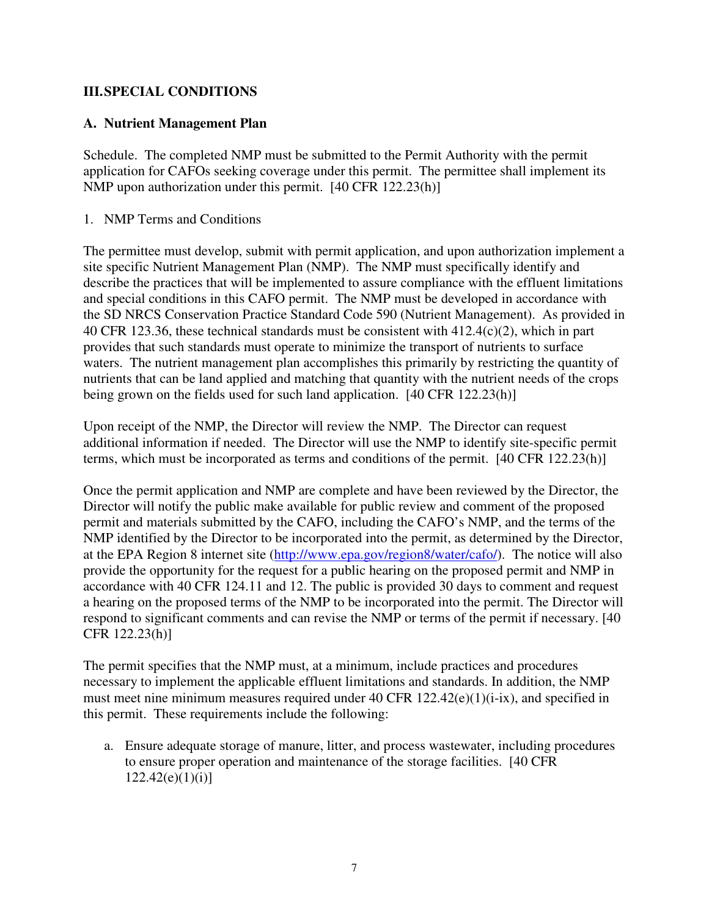## **III. SPECIAL CONDITIONS**

## **A. Nutrient Management Plan**

Schedule. The completed NMP must be submitted to the Permit Authority with the permit application for CAFOs seeking coverage under this permit. The permittee shall implement its NMP upon authorization under this permit. [40 CFR 122.23(h)]

#### 1. NMP Terms and Conditions

The permittee must develop, submit with permit application, and upon authorization implement a site specific Nutrient Management Plan (NMP). The NMP must specifically identify and describe the practices that will be implemented to assure compliance with the effluent limitations and special conditions in this CAFO permit. The NMP must be developed in accordance with the SD NRCS Conservation Practice Standard Code 590 (Nutrient Management). As provided in 40 CFR 123.36, these technical standards must be consistent with 412.4(c)(2), which in part provides that such standards must operate to minimize the transport of nutrients to surface waters. The nutrient management plan accomplishes this primarily by restricting the quantity of nutrients that can be land applied and matching that quantity with the nutrient needs of the crops being grown on the fields used for such land application. [40 CFR 122.23(h)]

Upon receipt of the NMP, the Director will review the NMP. The Director can request additional information if needed. The Director will use the NMP to identify site-specific permit terms, which must be incorporated as terms and conditions of the permit. [40 CFR 122.23(h)]

Once the permit application and NMP are complete and have been reviewed by the Director, the Director will notify the public make available for public review and comment of the proposed permit and materials submitted by the CAFO, including the CAFO's NMP, and the terms of the NMP identified by the Director to be incorporated into the permit, as determined by the Director, at the EPA Region 8 internet site (http://www.epa.gov/region8/water/cafo/). The notice will also provide the opportunity for the request for a public hearing on the proposed permit and NMP in accordance with 40 CFR 124.11 and 12. The public is provided 30 days to comment and request a hearing on the proposed terms of the NMP to be incorporated into the permit. The Director will respond to significant comments and can revise the NMP or terms of the permit if necessary. [40 CFR 122.23(h)]

The permit specifies that the NMP must, at a minimum, include practices and procedures necessary to implement the applicable effluent limitations and standards. In addition, the NMP must meet nine minimum measures required under 40 CFR 122.42(e)(1)(i-ix), and specified in this permit. These requirements include the following:

a. Ensure adequate storage of manure, litter, and process wastewater, including procedures to ensure proper operation and maintenance of the storage facilities. [40 CFR  $122.42(e)(1)(i)$ ]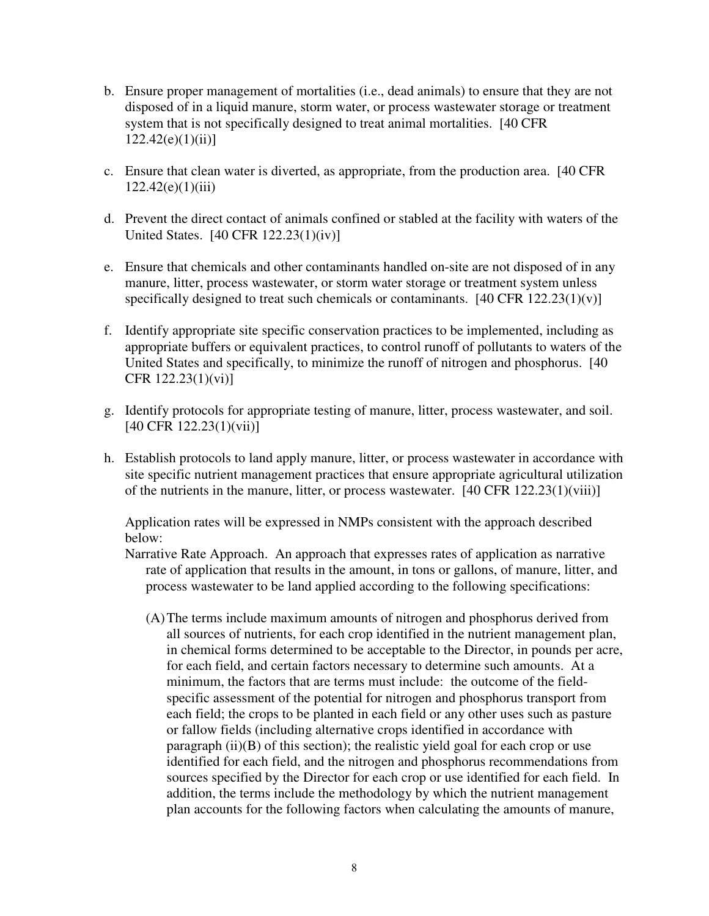- b. Ensure proper management of mortalities (i.e., dead animals) to ensure that they are not disposed of in a liquid manure, storm water, or process wastewater storage or treatment system that is not specifically designed to treat animal mortalities. [40 CFR  $122.42(e)(1)(ii)$ ]
- c. Ensure that clean water is diverted, as appropriate, from the production area. [40 CFR  $122.42(e)(1)(iii)$
- d. Prevent the direct contact of animals confined or stabled at the facility with waters of the United States. [40 CFR 122.23(1)(iv)]
- e. Ensure that chemicals and other contaminants handled on-site are not disposed of in any manure, litter, process wastewater, or storm water storage or treatment system unless specifically designed to treat such chemicals or contaminants. [40 CFR 122.23(1)(v)]
- f. Identify appropriate site specific conservation practices to be implemented, including as appropriate buffers or equivalent practices, to control runoff of pollutants to waters of the United States and specifically, to minimize the runoff of nitrogen and phosphorus. [40 CFR 122.23(1)(vi)]
- g. Identify protocols for appropriate testing of manure, litter, process wastewater, and soil. [40 CFR 122.23(1)(vii)]
- h. Establish protocols to land apply manure, litter, or process wastewater in accordance with site specific nutrient management practices that ensure appropriate agricultural utilization of the nutrients in the manure, litter, or process wastewater. [40 CFR 122.23(1)(viii)]

Application rates will be expressed in NMPs consistent with the approach described below:

- Narrative Rate Approach. An approach that expresses rates of application as narrative rate of application that results in the amount, in tons or gallons, of manure, litter, and process wastewater to be land applied according to the following specifications:
	- (A) The terms include maximum amounts of nitrogen and phosphorus derived from all sources of nutrients, for each crop identified in the nutrient management plan, in chemical forms determined to be acceptable to the Director, in pounds per acre, for each field, and certain factors necessary to determine such amounts. At a minimum, the factors that are terms must include: the outcome of the fieldspecific assessment of the potential for nitrogen and phosphorus transport from each field; the crops to be planted in each field or any other uses such as pasture or fallow fields (including alternative crops identified in accordance with paragraph  $(ii)(B)$  of this section); the realistic yield goal for each crop or use identified for each field, and the nitrogen and phosphorus recommendations from sources specified by the Director for each crop or use identified for each field. In addition, the terms include the methodology by which the nutrient management plan accounts for the following factors when calculating the amounts of manure,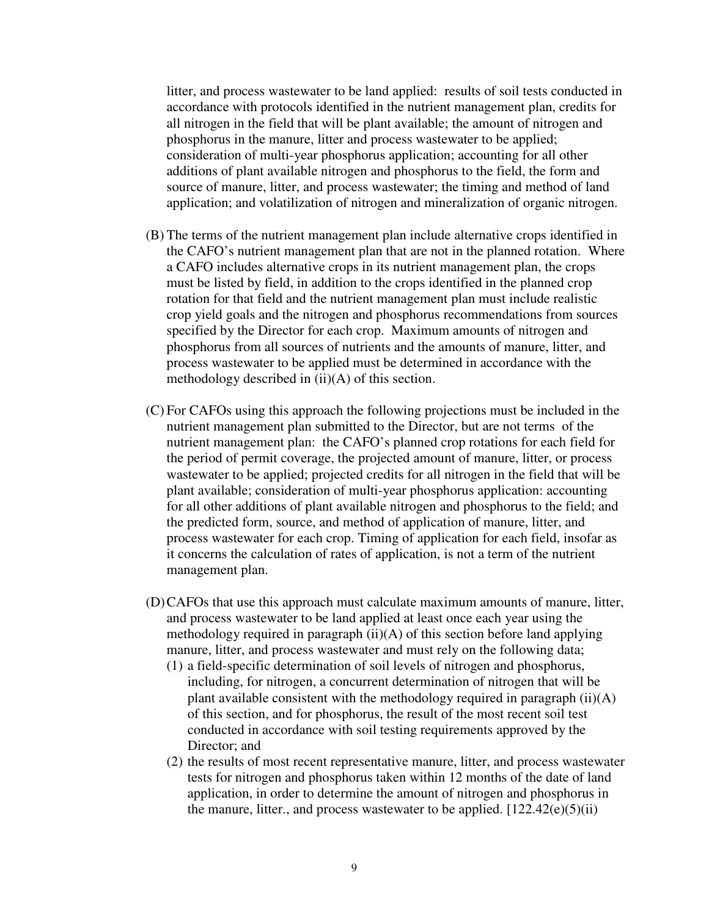litter, and process wastewater to be land applied: results of soil tests conducted in accordance with protocols identified in the nutrient management plan, credits for all nitrogen in the field that will be plant available; the amount of nitrogen and phosphorus in the manure, litter and process wastewater to be applied; consideration of multi-year phosphorus application; accounting for all other additions of plant available nitrogen and phosphorus to the field, the form and source of manure, litter, and process wastewater; the timing and method of land application; and volatilization of nitrogen and mineralization of organic nitrogen.

- (B) The terms of the nutrient management plan include alternative crops identified in the CAFO's nutrient management plan that are not in the planned rotation. Where a CAFO includes alternative crops in its nutrient management plan, the crops must be listed by field, in addition to the crops identified in the planned crop rotation for that field and the nutrient management plan must include realistic crop yield goals and the nitrogen and phosphorus recommendations from sources specified by the Director for each crop. Maximum amounts of nitrogen and phosphorus from all sources of nutrients and the amounts of manure, litter, and process wastewater to be applied must be determined in accordance with the methodology described in  $(ii)(A)$  of this section.
- (C) For CAFOs using this approach the following projections must be included in the nutrient management plan submitted to the Director, but are not terms of the nutrient management plan: the CAFO's planned crop rotations for each field for the period of permit coverage, the projected amount of manure, litter, or process wastewater to be applied; projected credits for all nitrogen in the field that will be plant available; consideration of multi-year phosphorus application: accounting for all other additions of plant available nitrogen and phosphorus to the field; and the predicted form, source, and method of application of manure, litter, and process wastewater for each crop. Timing of application for each field, insofar as it concerns the calculation of rates of application, is not a term of the nutrient management plan.
- (D) CAFOs that use this approach must calculate maximum amounts of manure, litter, and process wastewater to be land applied at least once each year using the methodology required in paragraph (ii)(A) of this section before land applying manure, litter, and process wastewater and must rely on the following data;
	- (1) a field-specific determination of soil levels of nitrogen and phosphorus, including, for nitrogen, a concurrent determination of nitrogen that will be plant available consistent with the methodology required in paragraph (ii)(A) of this section, and for phosphorus, the result of the most recent soil test conducted in accordance with soil testing requirements approved by the Director; and
	- (2) the results of most recent representative manure, litter, and process wastewater tests for nitrogen and phosphorus taken within 12 months of the date of land application, in order to determine the amount of nitrogen and phosphorus in the manure, litter, and process wastewater to be applied.  $[122.42(e)(5)(ii)$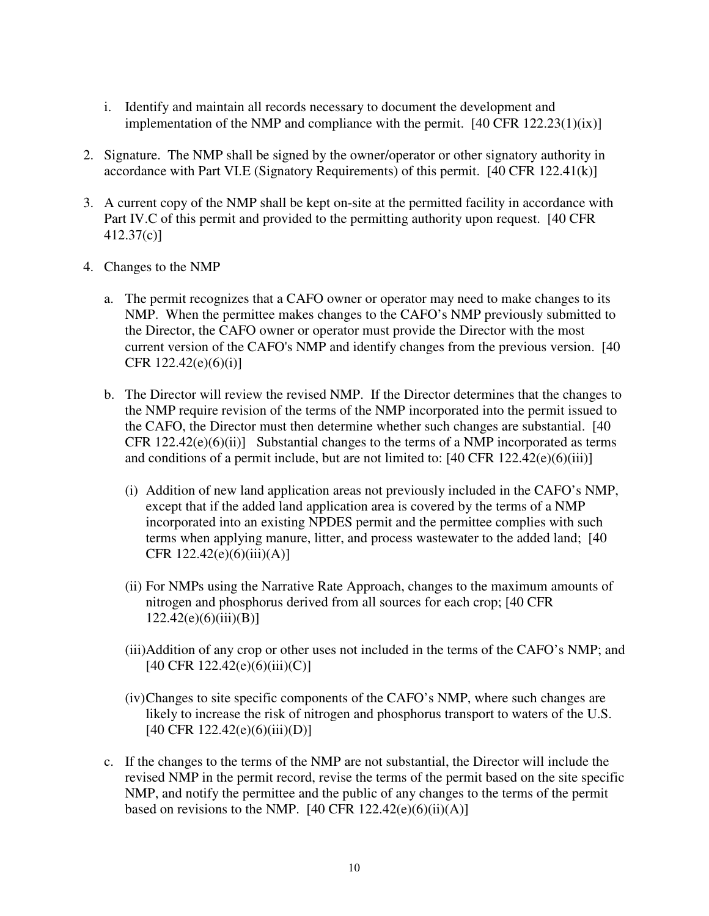- i. Identify and maintain all records necessary to document the development and implementation of the NMP and compliance with the permit.  $[40 \text{ CFR } 122.23(1)(ix)]$
- 2. Signature. The NMP shall be signed by the owner/operator or other signatory authority in accordance with Part VI.E (Signatory Requirements) of this permit. [40 CFR 122.41(k)]
- 3. A current copy of the NMP shall be kept on-site at the permitted facility in accordance with Part IV.C of this permit and provided to the permitting authority upon request. [40 CFR 412.37(c)]
- 4. Changes to the NMP
	- a. The permit recognizes that a CAFO owner or operator may need to make changes to its NMP. When the permittee makes changes to the CAFO's NMP previously submitted to the Director, the CAFO owner or operator must provide the Director with the most current version of the CAFO's NMP and identify changes from the previous version. [40 CFR  $122.42(e)(6)(i)$ ]
	- b. The Director will review the revised NMP. If the Director determines that the changes to the NMP require revision of the terms of the NMP incorporated into the permit issued to the CAFO, the Director must then determine whether such changes are substantial. [40 CFR  $122.42(e)(6)(ii)$ ] Substantial changes to the terms of a NMP incorporated as terms and conditions of a permit include, but are not limited to:  $[40 \text{ CFR } 122.42(e)(6)(iii)]$ 
		- (i) Addition of new land application areas not previously included in the CAFO's NMP, except that if the added land application area is covered by the terms of a NMP incorporated into an existing NPDES permit and the permittee complies with such terms when applying manure, litter, and process wastewater to the added land; [40 CFR  $122.42(e)(6)(iii)(A)$ ]
		- (ii) For NMPs using the Narrative Rate Approach, changes to the maximum amounts of nitrogen and phosphorus derived from all sources for each crop; [40 CFR  $122.42(e)(6)(iii)(B)$ ]
		- (iii)Addition of any crop or other uses not included in the terms of the CAFO's NMP; and [40 CFR 122.42(e)(6)(iii)(C)]
		- (iv) Changes to site specific components of the CAFO's NMP, where such changes are likely to increase the risk of nitrogen and phosphorus transport to waters of the U.S. [40 CFR 122.42(e)(6)(iii)(D)]
	- c. If the changes to the terms of the NMP are not substantial, the Director will include the revised NMP in the permit record, revise the terms of the permit based on the site specific NMP, and notify the permittee and the public of any changes to the terms of the permit based on revisions to the NMP.  $[40 \text{ CFR } 122.42(e)(6)(ii)(A)]$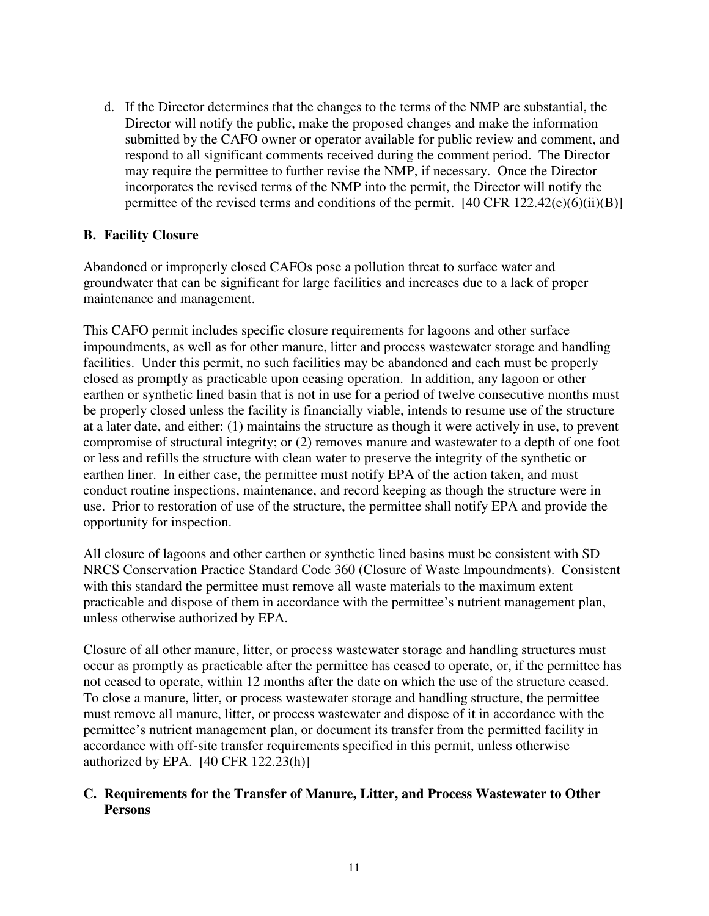d. If the Director determines that the changes to the terms of the NMP are substantial, the Director will notify the public, make the proposed changes and make the information submitted by the CAFO owner or operator available for public review and comment, and respond to all significant comments received during the comment period. The Director may require the permittee to further revise the NMP, if necessary. Once the Director incorporates the revised terms of the NMP into the permit, the Director will notify the permittee of the revised terms and conditions of the permit.  $[40 \text{ CFR } 122.42(e)(6)(ii)(B)]$ 

## **B. Facility Closure**

Abandoned or improperly closed CAFOs pose a pollution threat to surface water and groundwater that can be significant for large facilities and increases due to a lack of proper maintenance and management.

This CAFO permit includes specific closure requirements for lagoons and other surface impoundments, as well as for other manure, litter and process wastewater storage and handling facilities. Under this permit, no such facilities may be abandoned and each must be properly closed as promptly as practicable upon ceasing operation. In addition, any lagoon or other earthen or synthetic lined basin that is not in use for a period of twelve consecutive months must be properly closed unless the facility is financially viable, intends to resume use of the structure at a later date, and either: (1) maintains the structure as though it were actively in use, to prevent compromise of structural integrity; or (2) removes manure and wastewater to a depth of one foot or less and refills the structure with clean water to preserve the integrity of the synthetic or earthen liner. In either case, the permittee must notify EPA of the action taken, and must conduct routine inspections, maintenance, and record keeping as though the structure were in use. Prior to restoration of use of the structure, the permittee shall notify EPA and provide the opportunity for inspection.

All closure of lagoons and other earthen or synthetic lined basins must be consistent with SD NRCS Conservation Practice Standard Code 360 (Closure of Waste Impoundments). Consistent with this standard the permittee must remove all waste materials to the maximum extent practicable and dispose of them in accordance with the permittee's nutrient management plan, unless otherwise authorized by EPA.

Closure of all other manure, litter, or process wastewater storage and handling structures must occur as promptly as practicable after the permittee has ceased to operate, or, if the permittee has not ceased to operate, within 12 months after the date on which the use of the structure ceased. To close a manure, litter, or process wastewater storage and handling structure, the permittee must remove all manure, litter, or process wastewater and dispose of it in accordance with the permittee's nutrient management plan, or document its transfer from the permitted facility in accordance with off-site transfer requirements specified in this permit, unless otherwise authorized by EPA.  $[40 \text{ CFR } 122.23(h)]$ 

## **C. Requirements for the Transfer of Manure, Litter, and Process Wastewater to Other Persons**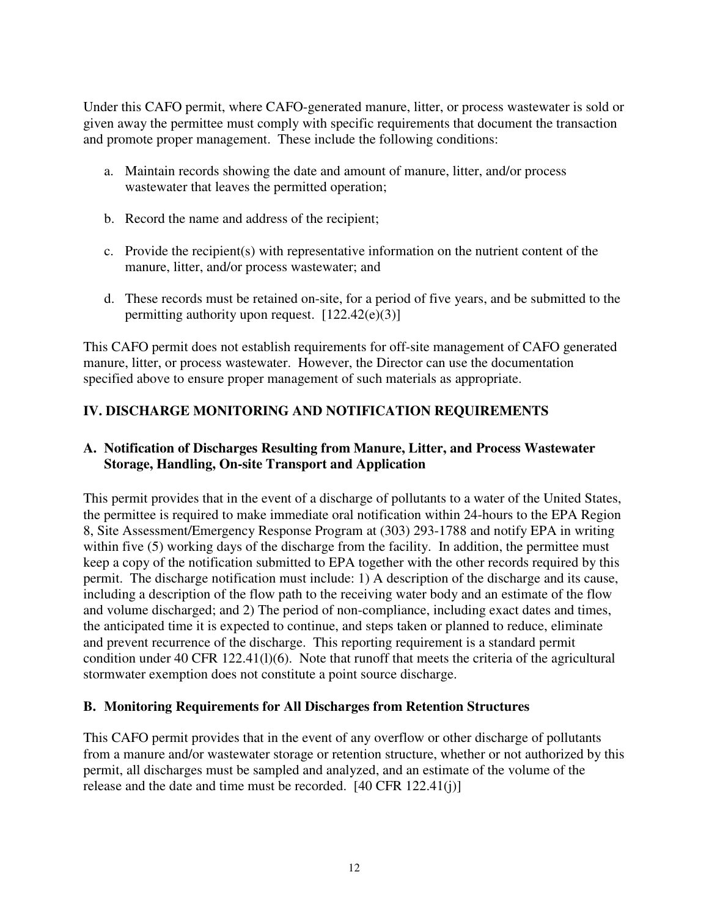Under this CAFO permit, where CAFO-generated manure, litter, or process wastewater is sold or given away the permittee must comply with specific requirements that document the transaction and promote proper management. These include the following conditions:

- a. Maintain records showing the date and amount of manure, litter, and/or process wastewater that leaves the permitted operation;
- b. Record the name and address of the recipient;
- c. Provide the recipient(s) with representative information on the nutrient content of the manure, litter, and/or process wastewater; and
- d. These records must be retained on-site, for a period of five years, and be submitted to the permitting authority upon request.  $[122.42(e)(3)]$

This CAFO permit does not establish requirements for off-site management of CAFO generated manure, litter, or process wastewater. However, the Director can use the documentation specified above to ensure proper management of such materials as appropriate.

# **IV. DISCHARGE MONITORING AND NOTIFICATION REQUIREMENTS**

## **A. Notification of Discharges Resulting from Manure, Litter, and Process Wastewater Storage, Handling, On-site Transport and Application**

This permit provides that in the event of a discharge of pollutants to a water of the United States, the permittee is required to make immediate oral notification within 24-hours to the EPA Region 8, Site Assessment/Emergency Response Program at (303) 293-1788 and notify EPA in writing within five (5) working days of the discharge from the facility. In addition, the permittee must keep a copy of the notification submitted to EPA together with the other records required by this permit. The discharge notification must include: 1) A description of the discharge and its cause, including a description of the flow path to the receiving water body and an estimate of the flow and volume discharged; and 2) The period of non-compliance, including exact dates and times, the anticipated time it is expected to continue, and steps taken or planned to reduce, eliminate and prevent recurrence of the discharge. This reporting requirement is a standard permit condition under 40 CFR 122.41(l)(6). Note that runoff that meets the criteria of the agricultural stormwater exemption does not constitute a point source discharge.

## **B. Monitoring Requirements for All Discharges from Retention Structures**

This CAFO permit provides that in the event of any overflow or other discharge of pollutants from a manure and/or wastewater storage or retention structure, whether or not authorized by this permit, all discharges must be sampled and analyzed, and an estimate of the volume of the release and the date and time must be recorded. [40 CFR 122.41(j)]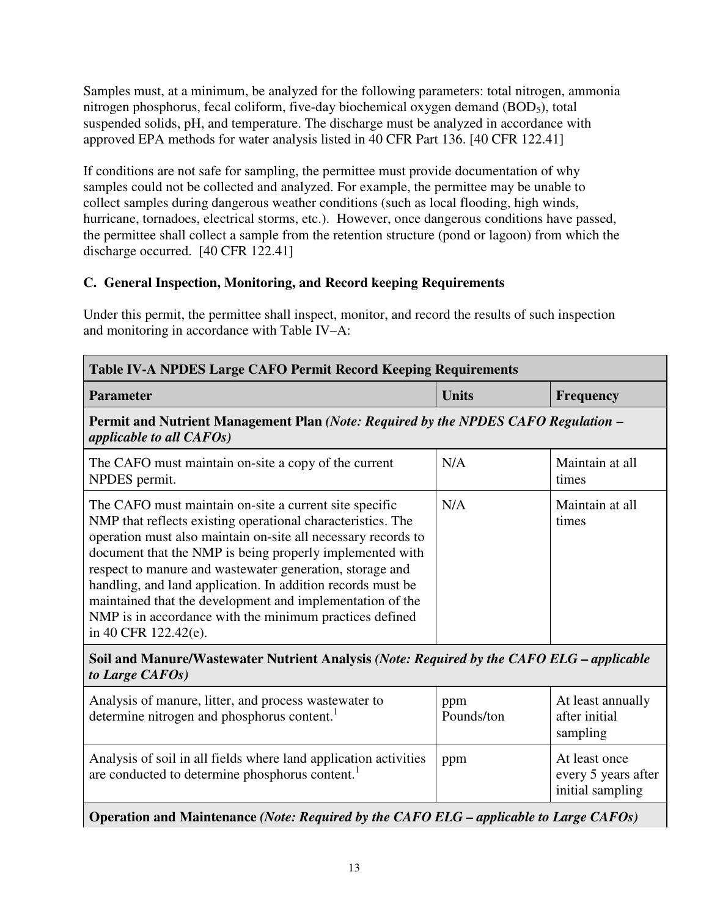Samples must, at a minimum, be analyzed for the following parameters: total nitrogen, ammonia nitrogen phosphorus, fecal coliform, five-day biochemical oxygen demand (BOD5), total suspended solids, pH, and temperature. The discharge must be analyzed in accordance with approved EPA methods for water analysis listed in 40 CFR Part 136. [40 CFR 122.41]

If conditions are not safe for sampling, the permittee must provide documentation of why samples could not be collected and analyzed. For example, the permittee may be unable to collect samples during dangerous weather conditions (such as local flooding, high winds, hurricane, tornadoes, electrical storms, etc.). However, once dangerous conditions have passed, the permittee shall collect a sample from the retention structure (pond or lagoon) from which the discharge occurred. [40 CFR 122.41]

# **C. General Inspection, Monitoring, and Record keeping Requirements**

Under this permit, the permittee shall inspect, monitor, and record the results of such inspection and monitoring in accordance with Table IV–A:

| <b>Table IV-A NPDES Large CAFO Permit Record Keeping Requirements</b>                                                                                                                                                                                                                                                                                                                                                                                                                                                         |                   |                                                          |  |
|-------------------------------------------------------------------------------------------------------------------------------------------------------------------------------------------------------------------------------------------------------------------------------------------------------------------------------------------------------------------------------------------------------------------------------------------------------------------------------------------------------------------------------|-------------------|----------------------------------------------------------|--|
| <b>Parameter</b>                                                                                                                                                                                                                                                                                                                                                                                                                                                                                                              | <b>Units</b>      | <b>Frequency</b>                                         |  |
| Permit and Nutrient Management Plan (Note: Required by the NPDES CAFO Regulation –<br>applicable to all CAFOs)                                                                                                                                                                                                                                                                                                                                                                                                                |                   |                                                          |  |
| The CAFO must maintain on-site a copy of the current<br>NPDES permit.                                                                                                                                                                                                                                                                                                                                                                                                                                                         | N/A               | Maintain at all<br>times                                 |  |
| The CAFO must maintain on-site a current site specific<br>NMP that reflects existing operational characteristics. The<br>operation must also maintain on-site all necessary records to<br>document that the NMP is being properly implemented with<br>respect to manure and wastewater generation, storage and<br>handling, and land application. In addition records must be<br>maintained that the development and implementation of the<br>NMP is in accordance with the minimum practices defined<br>in 40 CFR 122.42(e). | N/A               | Maintain at all<br>times                                 |  |
| Soil and Manure/Wastewater Nutrient Analysis (Note: Required by the CAFO ELG - applicable<br>to Large CAFOs)                                                                                                                                                                                                                                                                                                                                                                                                                  |                   |                                                          |  |
| Analysis of manure, litter, and process wastewater to<br>determine nitrogen and phosphorus content.                                                                                                                                                                                                                                                                                                                                                                                                                           | ppm<br>Pounds/ton | At least annually<br>after initial<br>sampling           |  |
| Analysis of soil in all fields where land application activities<br>are conducted to determine phosphorus content. <sup>1</sup>                                                                                                                                                                                                                                                                                                                                                                                               | ppm               | At least once<br>every 5 years after<br>initial sampling |  |
| Operation and Maintenance (Note: Required by the CAFO ELG - applicable to Large CAFOs)                                                                                                                                                                                                                                                                                                                                                                                                                                        |                   |                                                          |  |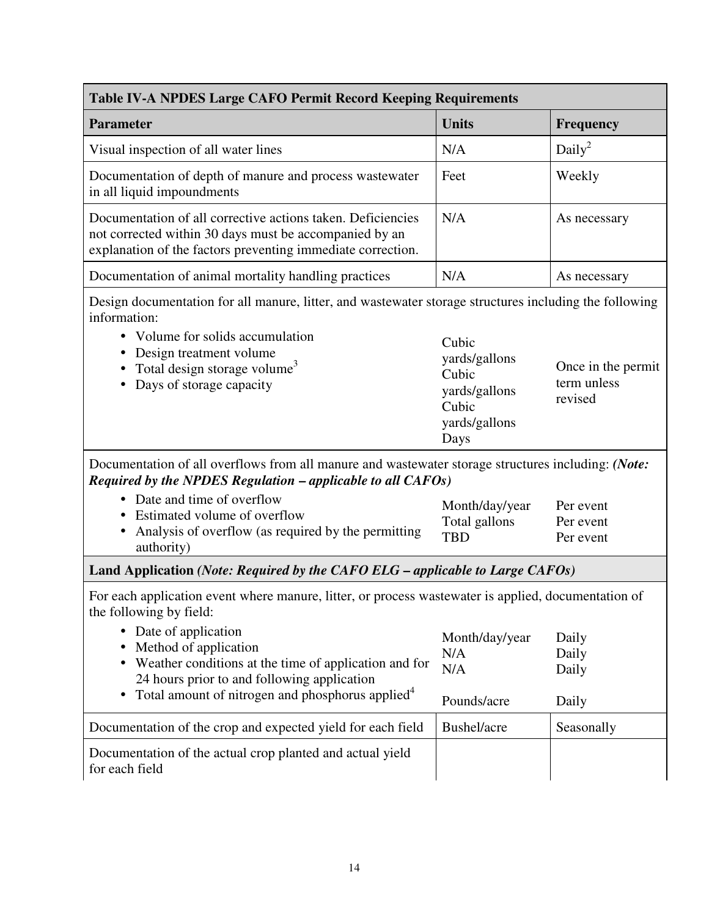| Table IV-A NPDES Large CAFO Permit Record Keeping Requirements                                                                                                                                                                                                                                                                                                                                                                                                           |                                                                                    |                                              |  |
|--------------------------------------------------------------------------------------------------------------------------------------------------------------------------------------------------------------------------------------------------------------------------------------------------------------------------------------------------------------------------------------------------------------------------------------------------------------------------|------------------------------------------------------------------------------------|----------------------------------------------|--|
| <b>Parameter</b>                                                                                                                                                                                                                                                                                                                                                                                                                                                         | <b>Units</b>                                                                       | <b>Frequency</b>                             |  |
| Visual inspection of all water lines                                                                                                                                                                                                                                                                                                                                                                                                                                     | N/A                                                                                | Daily <sup>2</sup>                           |  |
| Documentation of depth of manure and process wastewater<br>in all liquid impoundments                                                                                                                                                                                                                                                                                                                                                                                    | Feet                                                                               | Weekly                                       |  |
| Documentation of all corrective actions taken. Deficiencies<br>not corrected within 30 days must be accompanied by an<br>explanation of the factors preventing immediate correction.                                                                                                                                                                                                                                                                                     | N/A                                                                                | As necessary                                 |  |
| Documentation of animal mortality handling practices                                                                                                                                                                                                                                                                                                                                                                                                                     | N/A                                                                                | As necessary                                 |  |
| Design documentation for all manure, litter, and wastewater storage structures including the following<br>information:<br>Volume for solids accumulation<br>$\bullet$<br>Design treatment volume<br>Total design storage volume <sup>3</sup><br>Days of storage capacity                                                                                                                                                                                                 | Cubic<br>yards/gallons<br>Cubic<br>yards/gallons<br>Cubic<br>yards/gallons<br>Days | Once in the permit<br>term unless<br>revised |  |
| Documentation of all overflows from all manure and wastewater storage structures including: (Note:<br>Required by the NPDES Regulation $-$ applicable to all $CAFOs$ )<br>• Date and time of overflow<br>Estimated volume of overflow<br>Analysis of overflow (as required by the permitting<br>$\bullet$                                                                                                                                                                | Month/day/year<br>Total gallons<br><b>TBD</b>                                      | Per event<br>Per event<br>Per event          |  |
| authority)                                                                                                                                                                                                                                                                                                                                                                                                                                                               |                                                                                    |                                              |  |
| Land Application (Note: Required by the CAFO ELG – applicable to Large CAFOs)<br>For each application event where manure, litter, or process wastewater is applied, documentation of<br>the following by field:<br>• Date of application<br>Method of application<br>٠<br>Weather conditions at the time of application and for<br>$\bullet$<br>24 hours prior to and following application<br>Total amount of nitrogen and phosphorus applied <sup>4</sup><br>$\bullet$ | Month/day/year<br>N/A<br>N/A                                                       | Daily<br>Daily<br>Daily                      |  |
|                                                                                                                                                                                                                                                                                                                                                                                                                                                                          | Pounds/acre                                                                        | Daily                                        |  |
| Documentation of the crop and expected yield for each field<br>Documentation of the actual crop planted and actual yield<br>for each field                                                                                                                                                                                                                                                                                                                               | Bushel/acre                                                                        | Seasonally                                   |  |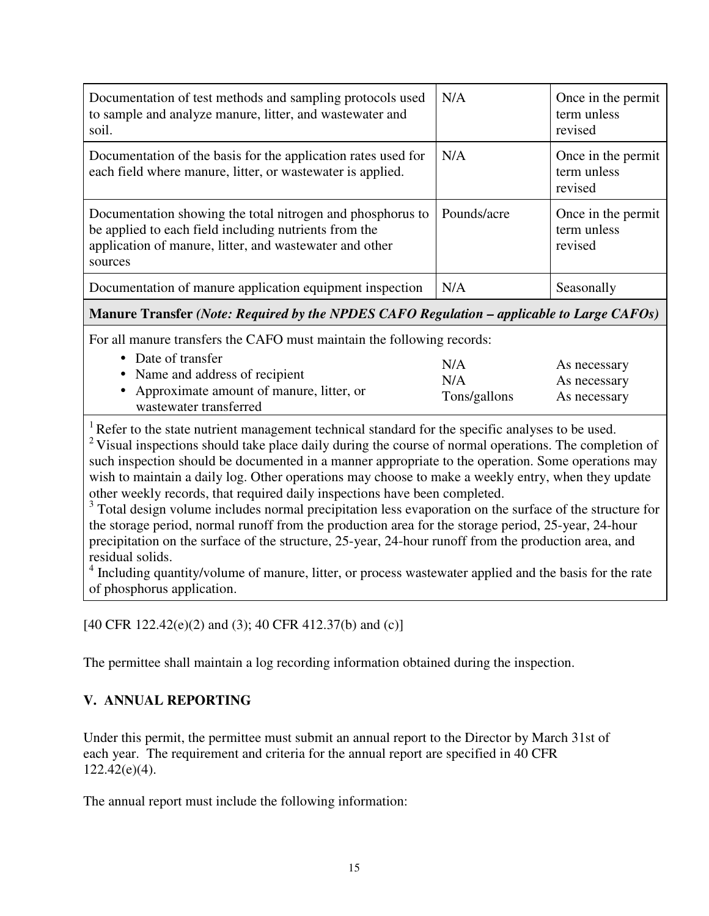| Documentation of test methods and sampling protocols used<br>to sample and analyze manure, litter, and wastewater and<br>soil.                                                            | N/A         | Once in the permit<br>term unless<br>revised |
|-------------------------------------------------------------------------------------------------------------------------------------------------------------------------------------------|-------------|----------------------------------------------|
| Documentation of the basis for the application rates used for<br>each field where manure, litter, or wastewater is applied.                                                               | N/A         | Once in the permit<br>term unless<br>revised |
| Documentation showing the total nitrogen and phosphorus to<br>be applied to each field including nutrients from the<br>application of manure, litter, and wastewater and other<br>sources | Pounds/acre | Once in the permit<br>term unless<br>revised |
| Documentation of manure application equipment inspection                                                                                                                                  | N/A         | Seasonally                                   |

## **Manure Transfer** *(Note: Required by the NPDES CAFO Regulation – applicable to Large CAFOs)*

For all manure transfers the CAFO must maintain the following records:

| • Date of transfer                         | N/A          | As necessary |
|--------------------------------------------|--------------|--------------|
| • Name and address of recipient            | N/A          | As necessary |
| • Approximate amount of manure, litter, or | Tons/gallons | As necessary |
| wastewater transferred                     |              |              |

 $1$  Refer to the state nutrient management technical standard for the specific analyses to be used.

<sup>2</sup> Visual inspections should take place daily during the course of normal operations. The completion of such inspection should be documented in a manner appropriate to the operation. Some operations may wish to maintain a daily log. Other operations may choose to make a weekly entry, when they update other weekly records, that required daily inspections have been completed.

<sup>3</sup> Total design volume includes normal precipitation less evaporation on the surface of the structure for the storage period, normal runoff from the production area for the storage period, 25-year, 24-hour precipitation on the surface of the structure, 25-year, 24-hour runoff from the production area, and residual solids.

<sup>4</sup> Including quantity/volume of manure, litter, or process wastewater applied and the basis for the rate of phosphorus application.

[40 CFR 122.42(e)(2) and (3); 40 CFR 412.37(b) and (c)]

The permittee shall maintain a log recording information obtained during the inspection.

## **V. ANNUAL REPORTING**

Under this permit, the permittee must submit an annual report to the Director by March 31st of each year. The requirement and criteria for the annual report are specified in 40 CFR 122.42(e)(4).

The annual report must include the following information: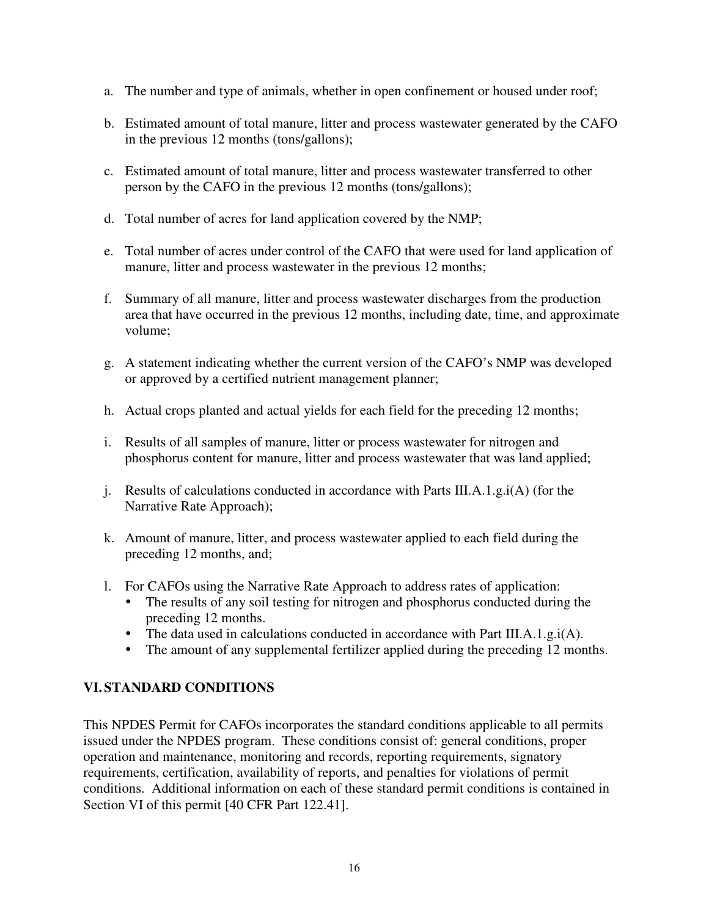- a. The number and type of animals, whether in open confinement or housed under roof;
- b. Estimated amount of total manure, litter and process wastewater generated by the CAFO in the previous 12 months (tons/gallons);
- c. Estimated amount of total manure, litter and process wastewater transferred to other person by the CAFO in the previous 12 months (tons/gallons);
- d. Total number of acres for land application covered by the NMP;
- e. Total number of acres under control of the CAFO that were used for land application of manure, litter and process wastewater in the previous 12 months;
- f. Summary of all manure, litter and process wastewater discharges from the production area that have occurred in the previous 12 months, including date, time, and approximate volume;
- g. A statement indicating whether the current version of the CAFO's NMP was developed or approved by a certified nutrient management planner;
- h. Actual crops planted and actual yields for each field for the preceding 12 months;
- i. Results of all samples of manure, litter or process wastewater for nitrogen and phosphorus content for manure, litter and process wastewater that was land applied;
- j. Results of calculations conducted in accordance with Parts III.A.1.g.i(A) (for the Narrative Rate Approach);
- k. Amount of manure, litter, and process wastewater applied to each field during the preceding 12 months, and;
- l. For CAFOs using the Narrative Rate Approach to address rates of application:
	- The results of any soil testing for nitrogen and phosphorus conducted during the preceding 12 months.
	- The data used in calculations conducted in accordance with Part III.A.1.g.i(A).
	- The amount of any supplemental fertilizer applied during the preceding 12 months.

## **VI. STANDARD CONDITIONS**

This NPDES Permit for CAFOs incorporates the standard conditions applicable to all permits issued under the NPDES program. These conditions consist of: general conditions, proper operation and maintenance, monitoring and records, reporting requirements, signatory requirements, certification, availability of reports, and penalties for violations of permit conditions. Additional information on each of these standard permit conditions is contained in Section VI of this permit [40 CFR Part 122.41].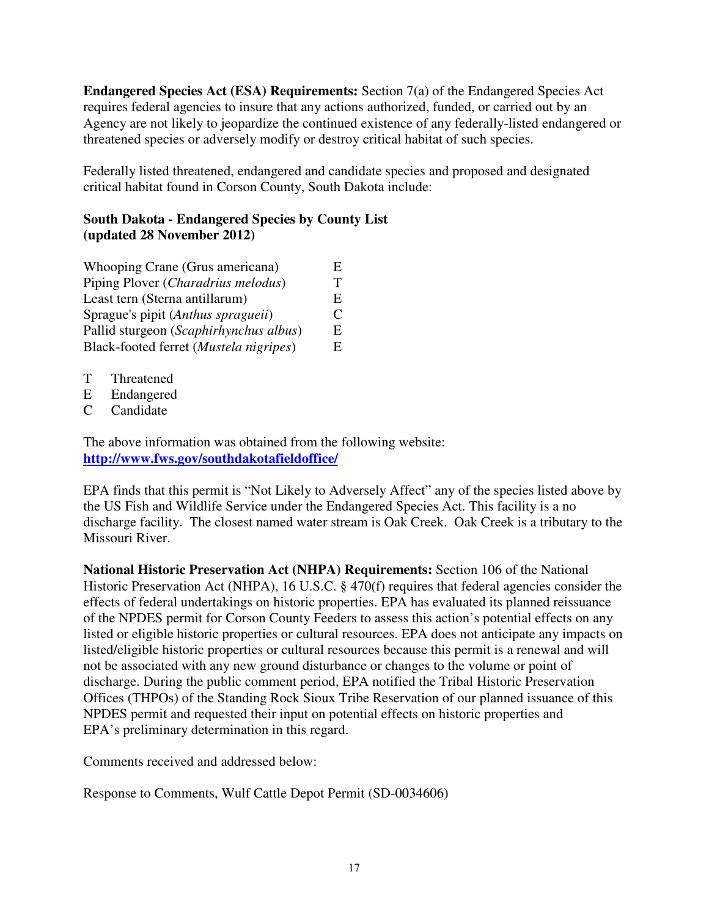**Endangered Species Act (ESA) Requirements:** Section 7(a) of the Endangered Species Act requires federal agencies to insure that any actions authorized, funded, or carried out by an Agency are not likely to jeopardize the continued existence of any federally-listed endangered or threatened species or adversely modify or destroy critical habitat of such species.

Federally listed threatened, endangered and candidate species and proposed and designated critical habitat found in Corson County, South Dakota include:

### **South Dakota - Endangered Species by County List (updated 28 November 2012)**

| Whooping Crane (Grus americana)        | Н.           |
|----------------------------------------|--------------|
| Piping Plover (Charadrius melodus)     | $\mathbf{r}$ |
| Least tern (Sterna antillarum)         | E,           |
| Sprague's pipit (Anthus spragueii)     | €            |
| Pallid sturgeon (Scaphirhynchus albus) | E,           |
| Black-footed ferret (Mustela nigripes) | E.           |

- T Threatened
- E Endangered
- C Candidate

The above information was obtained from the following website: **http://www.fws.gov/southdakotafieldoffice/** 

EPA finds that this permit is "Not Likely to Adversely Affect" any of the species listed above by the US Fish and Wildlife Service under the Endangered Species Act. This facility is a no discharge facility. The closest named water stream is Oak Creek. Oak Creek is a tributary to the Missouri River.

**National Historic Preservation Act (NHPA) Requirements:** Section 106 of the National Historic Preservation Act (NHPA), 16 U.S.C. § 470(f) requires that federal agencies consider the effects of federal undertakings on historic properties. EPA has evaluated its planned reissuance of the NPDES permit for Corson County Feeders to assess this action's potential effects on any listed or eligible historic properties or cultural resources. EPA does not anticipate any impacts on listed/eligible historic properties or cultural resources because this permit is a renewal and will not be associated with any new ground disturbance or changes to the volume or point of discharge. During the public comment period, EPA notified the Tribal Historic Preservation Offices (THPOs) of the Standing Rock Sioux Tribe Reservation of our planned issuance of this NPDES permit and requested their input on potential effects on historic properties and EPA's preliminary determination in this regard.

Comments received and addressed below:

Response to Comments, Wulf Cattle Depot Permit (SD-0034606)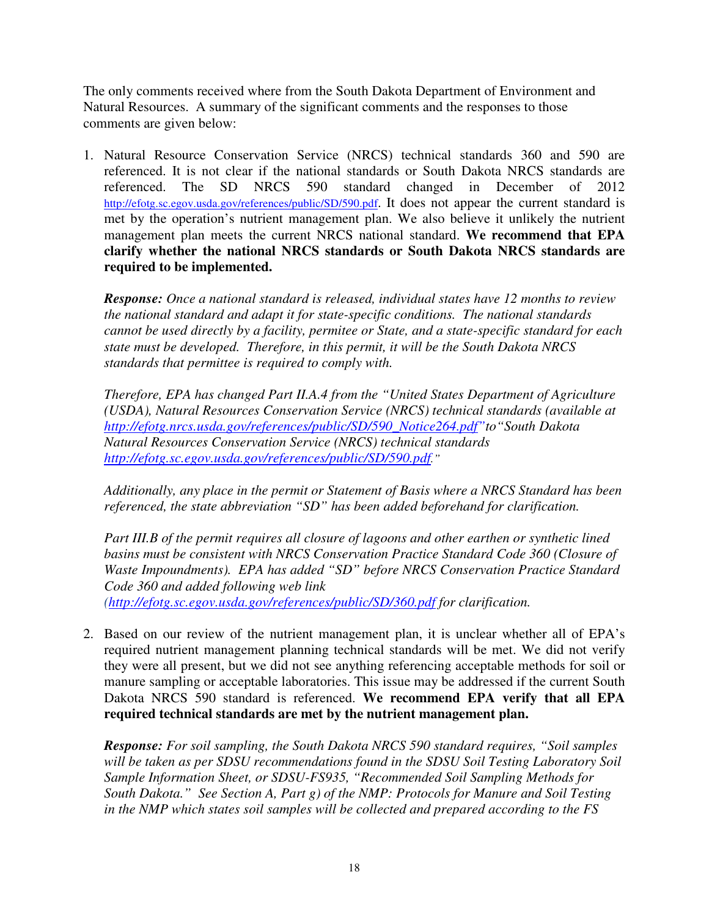The only comments received where from the South Dakota Department of Environment and Natural Resources. A summary of the significant comments and the responses to those comments are given below:

1. Natural Resource Conservation Service (NRCS) technical standards 360 and 590 are referenced. It is not clear if the national standards or South Dakota NRCS standards are referenced. The SD NRCS 590 standard changed in December of 2012 http://efotg.sc.egov.usda.gov/references/public/SD/590.pdf. It does not appear the current standard is met by the operation's nutrient management plan. We also believe it unlikely the nutrient management plan meets the current NRCS national standard. **We recommend that EPA clarify whether the national NRCS standards or South Dakota NRCS standards are required to be implemented.** 

*Response: Once a national standard is released, individual states have 12 months to review the national standard and adapt it for state-specific conditions. The national standards cannot be used directly by a facility, permitee or State, and a state-specific standard for each state must be developed. Therefore, in this permit, it will be the South Dakota NRCS standards that permittee is required to comply with.* 

*Therefore, EPA has changed Part II.A.4 from the "United States Department of Agriculture (USDA), Natural Resources Conservation Service (NRCS) technical standards (available at http://efotg.nrcs.usda.gov/references/public/SD/590\_Notice264.pdf"to"South Dakota Natural Resources Conservation Service (NRCS) technical standards http://efotg.sc.egov.usda.gov/references/public/SD/590.pdf."*

*Additionally, any place in the permit or Statement of Basis where a NRCS Standard has been referenced, the state abbreviation "SD" has been added beforehand for clarification.* 

*Part III.B of the permit requires all closure of lagoons and other earthen or synthetic lined basins must be consistent with NRCS Conservation Practice Standard Code 360 (Closure of Waste Impoundments). EPA has added "SD" before NRCS Conservation Practice Standard Code 360 and added following web link (http://efotg.sc.egov.usda.gov/references/public/SD/360.pdf for clarification.* 

2. Based on our review of the nutrient management plan, it is unclear whether all of EPA's required nutrient management planning technical standards will be met. We did not verify they were all present, but we did not see anything referencing acceptable methods for soil or manure sampling or acceptable laboratories. This issue may be addressed if the current South Dakota NRCS 590 standard is referenced. **We recommend EPA verify that all EPA required technical standards are met by the nutrient management plan.**

*Response: For soil sampling, the South Dakota NRCS 590 standard requires, "Soil samples will be taken as per SDSU recommendations found in the SDSU Soil Testing Laboratory Soil Sample Information Sheet, or SDSU-FS935, "Recommended Soil Sampling Methods for South Dakota." See Section A, Part g) of the NMP: Protocols for Manure and Soil Testing in the NMP which states soil samples will be collected and prepared according to the FS*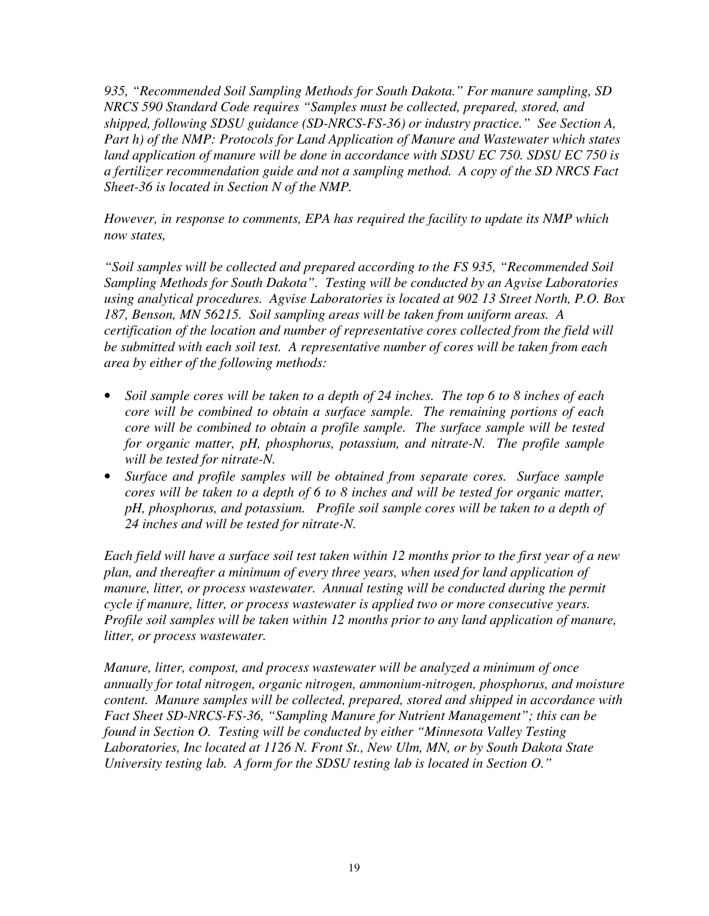*935, "Recommended Soil Sampling Methods for South Dakota." For manure sampling, SD NRCS 590 Standard Code requires "Samples must be collected, prepared, stored, and shipped, following SDSU guidance (SD-NRCS-FS-36) or industry practice." See Section A, Part h) of the NMP: Protocols for Land Application of Manure and Wastewater which states land application of manure will be done in accordance with SDSU EC 750. SDSU EC 750 is a fertilizer recommendation guide and not a sampling method. A copy of the SD NRCS Fact Sheet-36 is located in Section N of the NMP.* 

*However, in response to comments, EPA has required the facility to update its NMP which now states,* 

*"Soil samples will be collected and prepared according to the FS 935, "Recommended Soil Sampling Methods for South Dakota". Testing will be conducted by an Agvise Laboratories using analytical procedures. Agvise Laboratories is located at 902 13 Street North, P.O. Box 187, Benson, MN 56215. Soil sampling areas will be taken from uniform areas. A certification of the location and number of representative cores collected from the field will be submitted with each soil test. A representative number of cores will be taken from each area by either of the following methods:* 

- *Soil sample cores will be taken to a depth of 24 inches. The top 6 to 8 inches of each core will be combined to obtain a surface sample. The remaining portions of each core will be combined to obtain a profile sample. The surface sample will be tested for organic matter, pH, phosphorus, potassium, and nitrate-N. The profile sample will be tested for nitrate-N.*
- *Surface and profile samples will be obtained from separate cores. Surface sample cores will be taken to a depth of 6 to 8 inches and will be tested for organic matter, pH, phosphorus, and potassium. Profile soil sample cores will be taken to a depth of 24 inches and will be tested for nitrate-N.*

*Each field will have a surface soil test taken within 12 months prior to the first year of a new plan, and thereafter a minimum of every three years, when used for land application of manure, litter, or process wastewater. Annual testing will be conducted during the permit cycle if manure, litter, or process wastewater is applied two or more consecutive years. Profile soil samples will be taken within 12 months prior to any land application of manure, litter, or process wastewater.* 

*Manure, litter, compost, and process wastewater will be analyzed a minimum of once annually for total nitrogen, organic nitrogen, ammonium-nitrogen, phosphorus, and moisture content. Manure samples will be collected, prepared, stored and shipped in accordance with Fact Sheet SD-NRCS-FS-36, "Sampling Manure for Nutrient Management"; this can be found in Section O. Testing will be conducted by either "Minnesota Valley Testing Laboratories, Inc located at 1126 N. Front St., New Ulm, MN, or by South Dakota State University testing lab. A form for the SDSU testing lab is located in Section O."*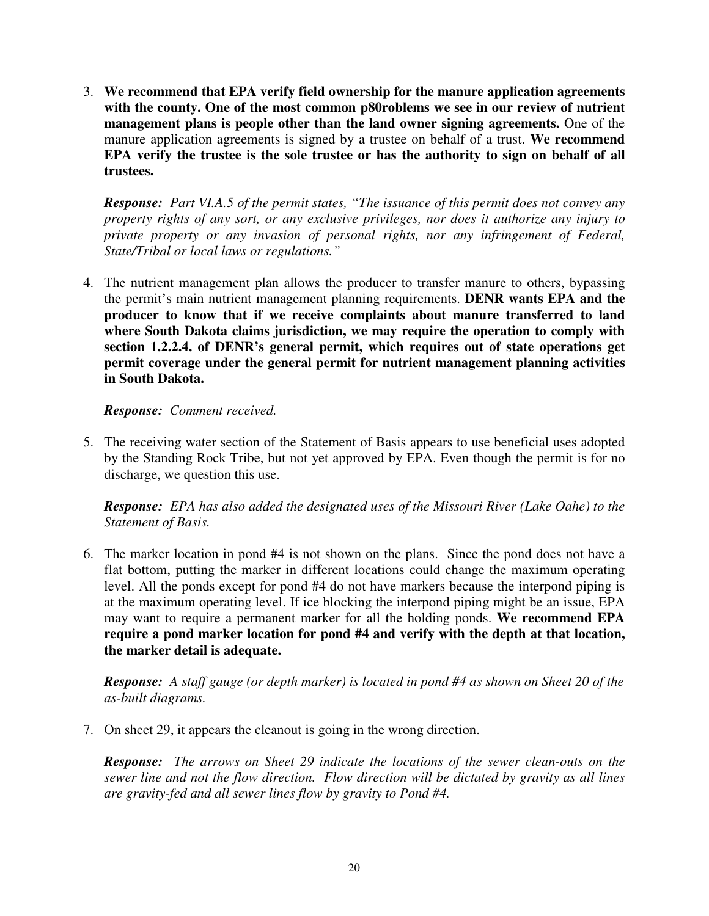3. **We recommend that EPA verify field ownership for the manure application agreements with the county. One of the most common p80roblems we see in our review of nutrient management plans is people other than the land owner signing agreements.** One of the manure application agreements is signed by a trustee on behalf of a trust. **We recommend EPA verify the trustee is the sole trustee or has the authority to sign on behalf of all trustees.** 

*Response: Part VI.A.5 of the permit states, "The issuance of this permit does not convey any property rights of any sort, or any exclusive privileges, nor does it authorize any injury to private property or any invasion of personal rights, nor any infringement of Federal, State/Tribal or local laws or regulations."* 

4. The nutrient management plan allows the producer to transfer manure to others, bypassing the permit's main nutrient management planning requirements. **DENR wants EPA and the producer to know that if we receive complaints about manure transferred to land where South Dakota claims jurisdiction, we may require the operation to comply with section 1.2.2.4. of DENR's general permit, which requires out of state operations get permit coverage under the general permit for nutrient management planning activities in South Dakota.** 

### *Response: Comment received.*

5. The receiving water section of the Statement of Basis appears to use beneficial uses adopted by the Standing Rock Tribe, but not yet approved by EPA. Even though the permit is for no discharge, we question this use.

*Response: EPA has also added the designated uses of the Missouri River (Lake Oahe) to the Statement of Basis.*

6. The marker location in pond #4 is not shown on the plans. Since the pond does not have a flat bottom, putting the marker in different locations could change the maximum operating level. All the ponds except for pond #4 do not have markers because the interpond piping is at the maximum operating level. If ice blocking the interpond piping might be an issue, EPA may want to require a permanent marker for all the holding ponds. **We recommend EPA require a pond marker location for pond #4 and verify with the depth at that location, the marker detail is adequate.**

*Response: A staff gauge (or depth marker) is located in pond #4 as shown on Sheet 20 of the as-built diagrams.* 

7. On sheet 29, it appears the cleanout is going in the wrong direction.

*Response: The arrows on Sheet 29 indicate the locations of the sewer clean-outs on the sewer line and not the flow direction. Flow direction will be dictated by gravity as all lines are gravity-fed and all sewer lines flow by gravity to Pond #4.*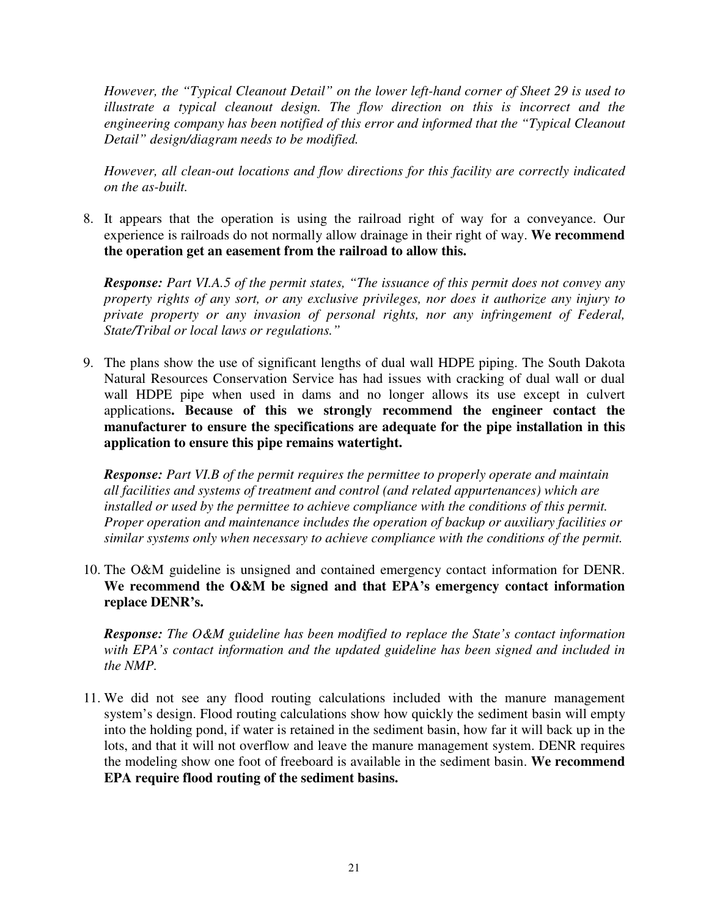*However, the "Typical Cleanout Detail" on the lower left-hand corner of Sheet 29 is used to illustrate a typical cleanout design. The flow direction on this is incorrect and the engineering company has been notified of this error and informed that the "Typical Cleanout Detail" design/diagram needs to be modified.* 

*However, all clean-out locations and flow directions for this facility are correctly indicated on the as-built.* 

8. It appears that the operation is using the railroad right of way for a conveyance. Our experience is railroads do not normally allow drainage in their right of way. **We recommend the operation get an easement from the railroad to allow this.** 

*Response: Part VI.A.5 of the permit states, "The issuance of this permit does not convey any property rights of any sort, or any exclusive privileges, nor does it authorize any injury to private property or any invasion of personal rights, nor any infringement of Federal, State/Tribal or local laws or regulations."* 

9. The plans show the use of significant lengths of dual wall HDPE piping. The South Dakota Natural Resources Conservation Service has had issues with cracking of dual wall or dual wall HDPE pipe when used in dams and no longer allows its use except in culvert applications**. Because of this we strongly recommend the engineer contact the manufacturer to ensure the specifications are adequate for the pipe installation in this application to ensure this pipe remains watertight.**

*Response: Part VI.B of the permit requires the permittee to properly operate and maintain all facilities and systems of treatment and control (and related appurtenances) which are installed or used by the permittee to achieve compliance with the conditions of this permit. Proper operation and maintenance includes the operation of backup or auxiliary facilities or similar systems only when necessary to achieve compliance with the conditions of the permit.* 

10. The O&M guideline is unsigned and contained emergency contact information for DENR. **We recommend the O&M be signed and that EPA's emergency contact information replace DENR's.** 

*Response: The O&M guideline has been modified to replace the State's contact information with EPA's contact information and the updated guideline has been signed and included in the NMP.* 

11. We did not see any flood routing calculations included with the manure management system's design. Flood routing calculations show how quickly the sediment basin will empty into the holding pond, if water is retained in the sediment basin, how far it will back up in the lots, and that it will not overflow and leave the manure management system. DENR requires the modeling show one foot of freeboard is available in the sediment basin. **We recommend EPA require flood routing of the sediment basins.**